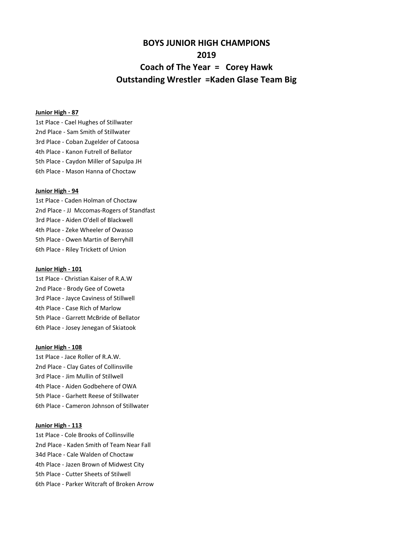# **BOYS JUNIOR HIGH CHAMPIONS 2019 Coach of The Year = Corey Hawk Outstanding Wrestler =Kaden Glase Team Big**

# **Junior High - 87**

1st Place - Cael Hughes of Stillwater 2nd Place - Sam Smith of Stillwater 3rd Place - Coban Zugelder of Catoosa 4th Place - Kanon Futrell of Bellator 5th Place - Caydon Miller of Sapulpa JH 6th Place - Mason Hanna of Choctaw

#### **Junior High - 94**

1st Place - Caden Holman of Choctaw 2nd Place - JJ Mccomas-Rogers of Standfast 3rd Place - Aiden O'dell of Blackwell 4th Place - Zeke Wheeler of Owasso 5th Place - Owen Martin of Berryhill 6th Place - Riley Trickett of Union

#### **Junior High - 101**

1st Place - Christian Kaiser of R.A.W 2nd Place - Brody Gee of Coweta 3rd Place - Jayce Caviness of Stillwell 4th Place - Case Rich of Marlow 5th Place - Garrett McBride of Bellator 6th Place - Josey Jenegan of Skiatook

#### **Junior High - 108**

1st Place - Jace Roller of R.A.W. 2nd Place - Clay Gates of Collinsville 3rd Place - Jim Mullin of Stillwell 4th Place - Aiden Godbehere of OWA 5th Place - Garhett Reese of Stillwater 6th Place - Cameron Johnson of Stillwater

# **Junior High - 113**

1st Place - Cole Brooks of Collinsville 2nd Place - Kaden Smith of Team Near Fall 34d Place - Cale Walden of Choctaw 4th Place - Jazen Brown of Midwest City 5th Place - Cutter Sheets of Stilwell 6th Place - Parker Witcraft of Broken Arrow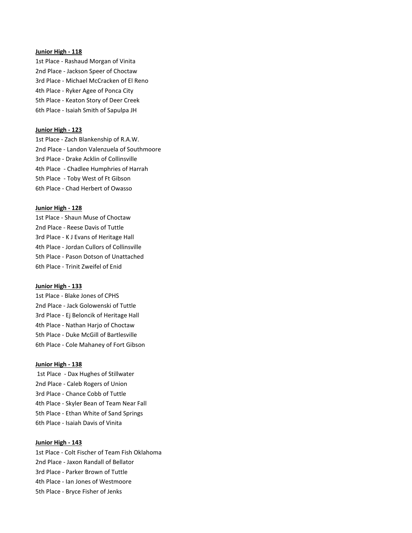# **Junior High - 118**

1st Place - Rashaud Morgan of Vinita 2nd Place - Jackson Speer of Choctaw 3rd Place - Michael McCracken of El Reno 4th Place - Ryker Agee of Ponca City 5th Place - Keaton Story of Deer Creek 6th Place - Isaiah Smith of Sapulpa JH

#### **Junior High - 123**

1st Place - Zach Blankenship of R.A.W. 2nd Place - Landon Valenzuela of Southmoore 3rd Place - Drake Acklin of Collinsville 4th Place - Chadlee Humphries of Harrah 5th Place - Toby West of Ft Gibson 6th Place - Chad Herbert of Owasso

### **Junior High - 128**

1st Place - Shaun Muse of Choctaw 2nd Place - Reese Davis of Tuttle 3rd Place - K J Evans of Heritage Hall 4th Place - Jordan Cullors of Collinsville 5th Place - Pason Dotson of Unattached 6th Place - Trinit Zweifel of Enid

### **Junior High - 133**

1st Place - Blake Jones of CPHS 2nd Place - Jack Golowenski of Tuttle 3rd Place - Ej Beloncik of Heritage Hall 4th Place - Nathan Harjo of Choctaw 5th Place - Duke McGill of Bartlesville 6th Place - Cole Mahaney of Fort Gibson

## **Junior High - 138**

 1st Place - Dax Hughes of Stillwater 2nd Place - Caleb Rogers of Union 3rd Place - Chance Cobb of Tuttle 4th Place - Skyler Bean of Team Near Fall 5th Place - Ethan White of Sand Springs 6th Place - Isaiah Davis of Vinita

#### **Junior High - 143**

1st Place - Colt Fischer of Team Fish Oklahoma 2nd Place - Jaxon Randall of Bellator 3rd Place - Parker Brown of Tuttle 4th Place - Ian Jones of Westmoore 5th Place - Bryce Fisher of Jenks